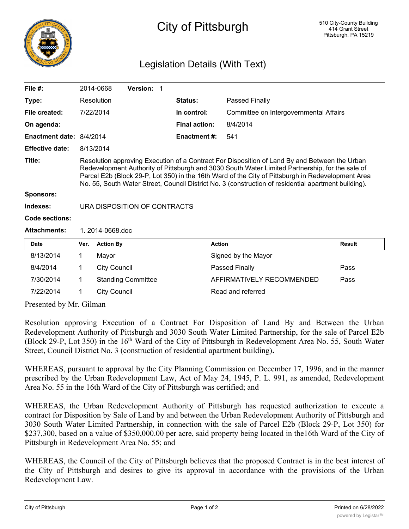

## City of Pittsburgh

## Legislation Details (With Text)

| File $#$ :                 |                                                                                                                                                                                                                                                                                                                                                                                                               | 2014-0668           | Version: 1 |  |                      |                                        |               |
|----------------------------|---------------------------------------------------------------------------------------------------------------------------------------------------------------------------------------------------------------------------------------------------------------------------------------------------------------------------------------------------------------------------------------------------------------|---------------------|------------|--|----------------------|----------------------------------------|---------------|
| Type:                      |                                                                                                                                                                                                                                                                                                                                                                                                               | Resolution          |            |  | <b>Status:</b>       | Passed Finally                         |               |
| File created:              |                                                                                                                                                                                                                                                                                                                                                                                                               | 7/22/2014           |            |  | In control:          | Committee on Intergovernmental Affairs |               |
| On agenda:                 |                                                                                                                                                                                                                                                                                                                                                                                                               |                     |            |  | <b>Final action:</b> | 8/4/2014                               |               |
| Enactment date: 8/4/2014   |                                                                                                                                                                                                                                                                                                                                                                                                               |                     |            |  | <b>Enactment #:</b>  | 541                                    |               |
| <b>Effective date:</b>     |                                                                                                                                                                                                                                                                                                                                                                                                               | 8/13/2014           |            |  |                      |                                        |               |
| Title:<br><b>Sponsors:</b> | Resolution approving Execution of a Contract For Disposition of Land By and Between the Urban<br>Redevelopment Authority of Pittsburgh and 3030 South Water Limited Partnership, for the sale of<br>Parcel E2b (Block 29-P, Lot 350) in the 16th Ward of the City of Pittsburgh in Redevelopment Area<br>No. 55, South Water Street, Council District No. 3 (construction of residential apartment building). |                     |            |  |                      |                                        |               |
| Indexes:                   | URA DISPOSITION OF CONTRACTS                                                                                                                                                                                                                                                                                                                                                                                  |                     |            |  |                      |                                        |               |
| Code sections:             |                                                                                                                                                                                                                                                                                                                                                                                                               |                     |            |  |                      |                                        |               |
| <b>Attachments:</b>        | 1.2014-0668.doc                                                                                                                                                                                                                                                                                                                                                                                               |                     |            |  |                      |                                        |               |
| <b>Date</b>                | Ver.                                                                                                                                                                                                                                                                                                                                                                                                          | <b>Action By</b>    |            |  |                      | <b>Action</b>                          | <b>Result</b> |
| 8/13/2014                  | 1.                                                                                                                                                                                                                                                                                                                                                                                                            | Mayor               |            |  |                      | Signed by the Mayor                    |               |
| 8/4/2014                   |                                                                                                                                                                                                                                                                                                                                                                                                               | <b>City Council</b> |            |  |                      | Passed Finally                         | Pass          |

Presented by Mr. Gilman

Resolution approving Execution of a Contract For Disposition of Land By and Between the Urban Redevelopment Authority of Pittsburgh and 3030 South Water Limited Partnership, for the sale of Parcel E2b (Block 29-P, Lot 350) in the 16<sup>th</sup> Ward of the City of Pittsburgh in Redevelopment Area No. 55, South Water Street, Council District No. 3 (construction of residential apartment building)**.**

7/30/2014 1 Standing Committee AFFIRMATIVELY RECOMMENDED Pass

7/22/2014 1 City Council Read and referred

WHEREAS, pursuant to approval by the City Planning Commission on December 17, 1996, and in the manner prescribed by the Urban Redevelopment Law, Act of May 24, 1945, P. L. 991, as amended, Redevelopment Area No. 55 in the 16th Ward of the City of Pittsburgh was certified; and

WHEREAS, the Urban Redevelopment Authority of Pittsburgh has requested authorization to execute a contract for Disposition by Sale of Land by and between the Urban Redevelopment Authority of Pittsburgh and 3030 South Water Limited Partnership, in connection with the sale of Parcel E2b (Block 29-P, Lot 350) for \$237,300, based on a value of \$350,000.00 per acre, said property being located in the16th Ward of the City of Pittsburgh in Redevelopment Area No. 55; and

WHEREAS, the Council of the City of Pittsburgh believes that the proposed Contract is in the best interest of the City of Pittsburgh and desires to give its approval in accordance with the provisions of the Urban Redevelopment Law.